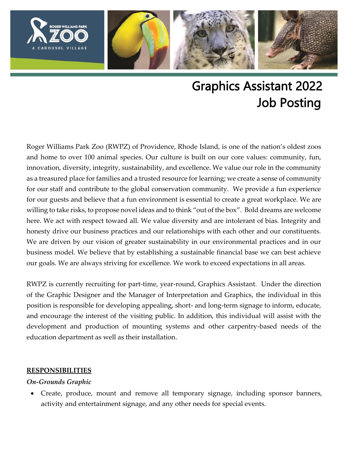

# Graphics Assistant 2022 Job Posting

Roger Williams Park Zoo (RWPZ) of Providence, Rhode Island, is one of the nation's oldest zoos and home to over 100 animal species. Our culture is built on our core values: community, fun, innovation, diversity, integrity, sustainability, and excellence. We value our role in the community as a treasured place for families and a trusted resource for learning; we create a sense of community for our staff and contribute to the global conservation community. We provide a fun experience for our guests and believe that a fun environment is essential to create a great workplace. We are willing to take risks, to propose novel ideas and to think "out of the box". Bold dreams are welcome here. We act with respect toward all. We value diversity and are intolerant of bias. Integrity and honesty drive our business practices and our relationships with each other and our constituents. We are driven by our vision of greater sustainability in our environmental practices and in our business model. We believe that by establishing a sustainable financial base we can best achieve our goals. We are always striving for excellence. We work to exceed expectations in all areas.

RWPZ is currently recruiting for part-time, year-round, Graphics Assistant. Under the direction of the Graphic Designer and the Manager of Interpretation and Graphics, the individual in this position is responsible for developing appealing, short- and long-term signage to inform, educate, and encourage the interest of the visiting public. In addition, this individual will assist with the development and production of mounting systems and other carpentry-based needs of the education department as well as their installation.

#### **RESPONSIBILITIES**

#### *On-Grounds Graphic*

• Create, produce, mount and remove all temporary signage, including sponsor banners, activity and entertainment signage, and any other needs for special events.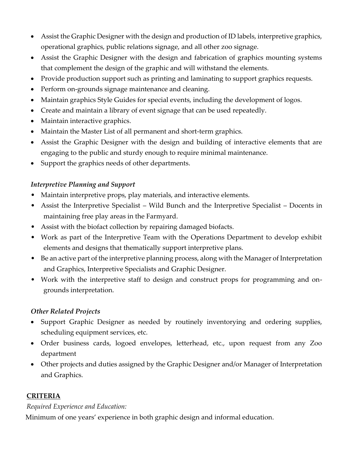- Assist the Graphic Designer with the design and production of ID labels, interpretive graphics, operational graphics, public relations signage, and all other zoo signage.
- Assist the Graphic Designer with the design and fabrication of graphics mounting systems that complement the design of the graphic and will withstand the elements.
- Provide production support such as printing and laminating to support graphics requests.
- Perform on-grounds signage maintenance and cleaning.
- Maintain graphics Style Guides for special events, including the development of logos.
- Create and maintain a library of event signage that can be used repeatedly.
- Maintain interactive graphics.
- Maintain the Master List of all permanent and short-term graphics.
- Assist the Graphic Designer with the design and building of interactive elements that are engaging to the public and sturdy enough to require minimal maintenance.
- Support the graphics needs of other departments.

## *Interpretive Planning and Support*

- Maintain interpretive props, play materials, and interactive elements.
- Assist the Interpretive Specialist Wild Bunch and the Interpretive Specialist Docents in maintaining free play areas in the Farmyard.
- Assist with the biofact collection by repairing damaged biofacts.
- Work as part of the Interpretive Team with the Operations Department to develop exhibit elements and designs that thematically support interpretive plans.
- Be an active part of the interpretive planning process, along with the Manager of Interpretation and Graphics, Interpretive Specialists and Graphic Designer.
- Work with the interpretive staff to design and construct props for programming and ongrounds interpretation.

## *Other Related Projects*

- Support Graphic Designer as needed by routinely inventorying and ordering supplies, scheduling equipment services, etc.
- Order business cards, logoed envelopes, letterhead, etc., upon request from any Zoo department
- Other projects and duties assigned by the Graphic Designer and/or Manager of Interpretation and Graphics.

### **CRITERIA**

### *Required Experience and Education:*

Minimum of one years' experience in both graphic design and informal education.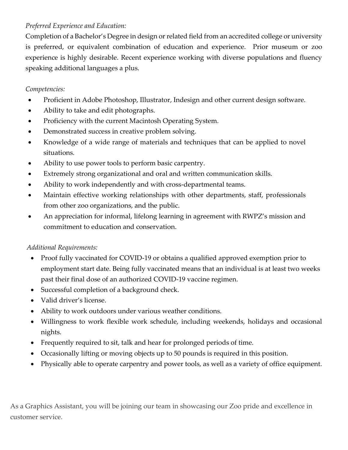### *Preferred Experience and Education:*

Completion of a Bachelor's Degree in design or related field from an accredited college or university is preferred, or equivalent combination of education and experience. Prior museum or zoo experience is highly desirable. Recent experience working with diverse populations and fluency speaking additional languages a plus.

#### *Competencies:*

- Proficient in Adobe Photoshop, Illustrator, Indesign and other current design software.
- Ability to take and edit photographs.
- Proficiency with the current Macintosh Operating System.
- Demonstrated success in creative problem solving.
- Knowledge of a wide range of materials and techniques that can be applied to novel situations.
- Ability to use power tools to perform basic carpentry.
- Extremely strong organizational and oral and written communication skills.
- Ability to work independently and with cross-departmental teams.
- Maintain effective working relationships with other departments, staff, professionals from other zoo organizations, and the public.
- An appreciation for informal, lifelong learning in agreement with RWPZ's mission and commitment to education and conservation.

### *Additional Requirements:*

- Proof fully vaccinated for COVID-19 or obtains a qualified approved exemption prior to employment start date. Being fully vaccinated means that an individual is at least two weeks past their final dose of an authorized COVID-19 vaccine regimen.
- Successful completion of a background check.
- Valid driver's license.
- Ability to work outdoors under various weather conditions.
- Willingness to work flexible work schedule, including weekends, holidays and occasional nights.
- Frequently required to sit, talk and hear for prolonged periods of time.
- Occasionally lifting or moving objects up to 50 pounds is required in this position.
- Physically able to operate carpentry and power tools, as well as a variety of office equipment.

As a Graphics Assistant, you will be joining our team in showcasing our Zoo pride and excellence in customer service.